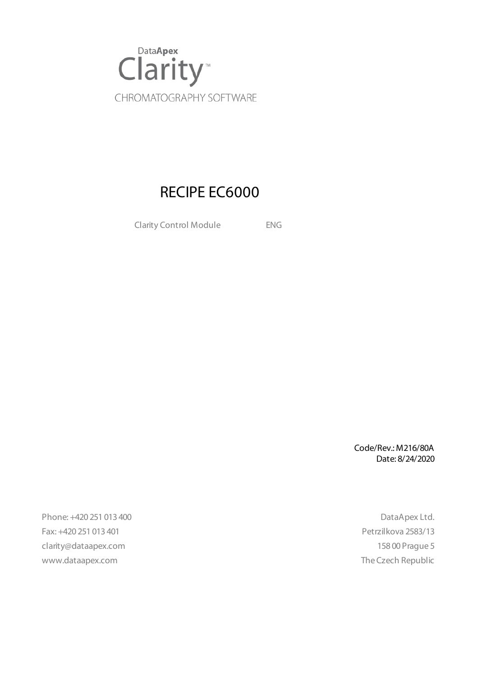

### RECIPE EC6000

Clarity Control Module ENG

Code/Rev.: M216/80A Date: 8/24/2020

Phone: +420 251 013 400 DataApex Ltd. Fax: +420 251 013 401 Petrzilkova 2583/13 clarity@dataapex.com 158 00 Prague 5 www.dataapex.com **The Czech Republic** Republic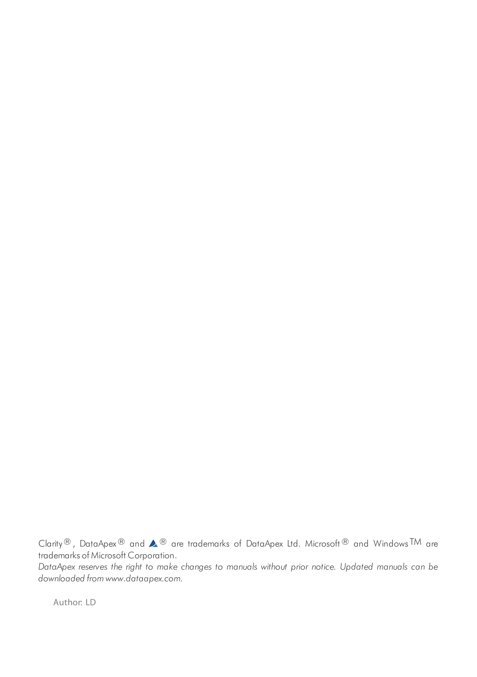Clarity®, DataApex® and  $\triangle$ <sup>®</sup> are trademarks of DataApex Ltd. Microsoft® and Windows TM are trademarks of Microsoft Corporation.

*DataApex reserves the right to make changes to manuals without prior notice. Updated manuals can be downloaded from www.dataapex.com.*

Author: LD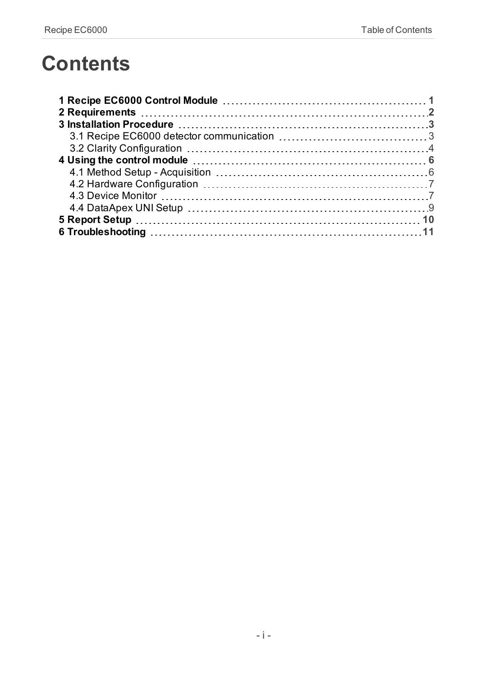# **Contents**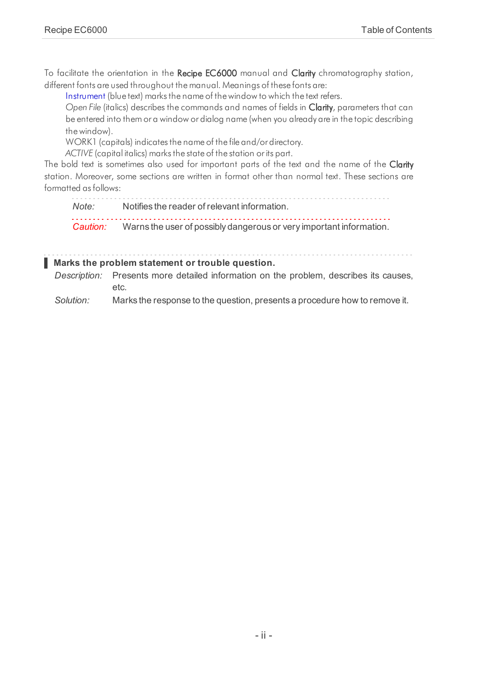To facilitate the orientation in the Recipe EC6000 manual and Clarity chromatography station, different fonts are used throughout the manual. Meanings of these fonts are:

[Instrument](ms-its:Clarity.chm::/Help/020-instrument/020.000-instrument/020-instrument.htm) (blue text) marks the name of the window to which the text refers.

*Open File* (italics) describes the commands and names of fields in Clarity, parameters that can be entered into them or a window or dialog name (when you already are in the topic describing thewindow).

WORK1 (capitals) indicates the name of the file and/or directory.

*ACTIVE* (capital italics) marks the state of the station or its part.

The bold text is sometimes also used for important parts of the text and the name of the Clarity station. Moreover, some sections are written in format other than normal text. These sections are formatted asfollows:

*Note:* Notifies the reader of relevant information. *Caution:* Warns the user of possibly dangerous or very important information.

#### **▌ Marks the problem statement or trouble question.**

*Description:* Presents more detailed information on the problem, describes its causes, etc.

*Solution:* Marks the response to the question, presents a procedure how to remove it.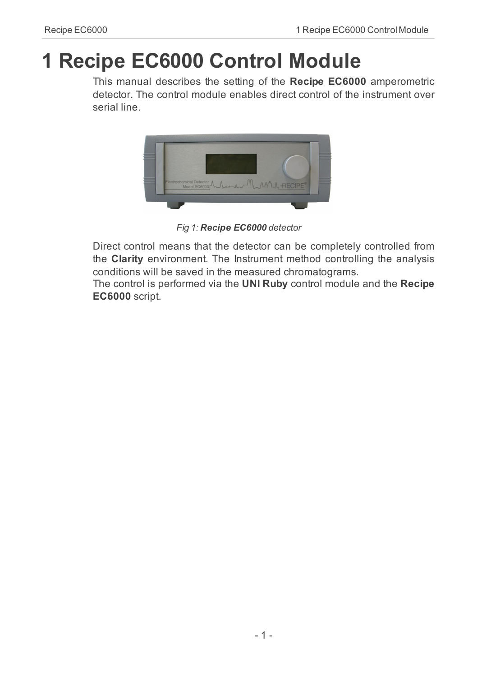# <span id="page-4-0"></span>**1 Recipe EC6000 Control Module**

This manual describes the setting of the **Recipe EC6000** amperometric detector. The control module enables direct control of the instrument over serial line.



*Fig 1: Recipe EC6000 detector*

Direct control means that the detector can be completely controlled from the **Clarity** environment. The Instrument method controlling the analysis conditions will be saved in the measured chromatograms.

The control is performed via the **UNI Ruby** control module and the **Recipe EC6000** script.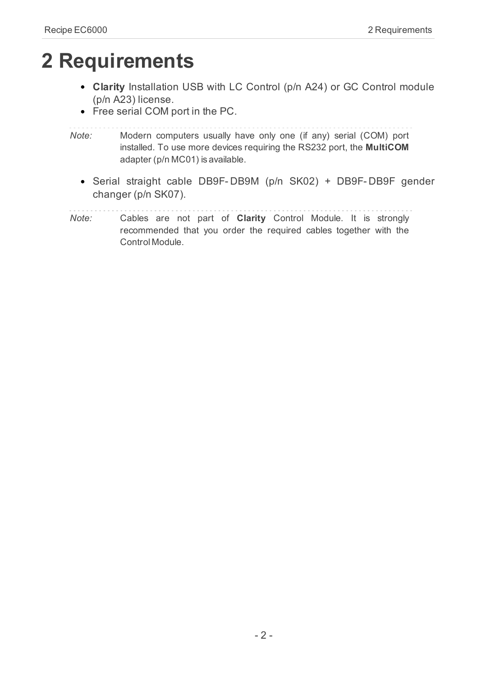# <span id="page-5-0"></span>**2 Requirements**

- **Clarity** Installation USB with LC Control (p/n A24) or GC Control module (p/n A23) license.
- Free serial COM port in the PC.
- *Note:* Modern computers usually have only one (if any) serial (COM) port installed. To use more devices requiring the RS232 port, the **MultiCOM** adapter (p/n MC01) is available.
	- Serial straight cable DB9F- DB9M (p/n SK02) + DB9F- DB9F gender changer (p/n SK07).
- *Note:* Cables are not part of **Clarity** Control Module. It is strongly recommended that you order the required cables together with the Control Module.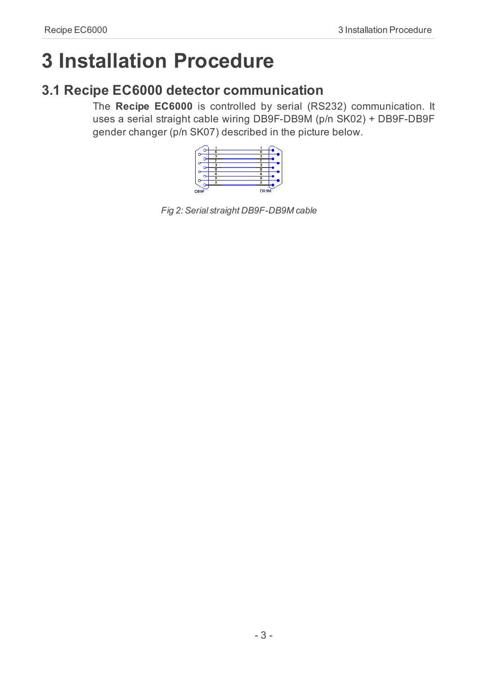# <span id="page-6-0"></span>**3 Installation Procedure**

### <span id="page-6-1"></span>**3.1 Recipe EC6000 detector communication**

The **Recipe EC6000** is controlled by serial (RS232) communication. It uses a serial straight cable wiring DB9F-DB9M (p/n SK02) + DB9F-DB9F gender changer (p/n SK07) described in the picture below.



*Fig 2: Serial straight DB9F-DB9M cable*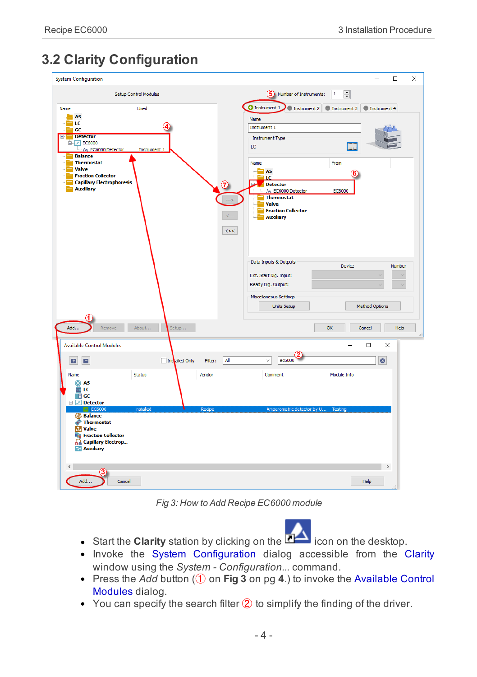### <span id="page-7-0"></span>**3.2 Clarity Configuration**

| <b>System Configuration</b>                                                                                                                                                               | $\Box$<br>$\times$                                                                                                                                                                           |
|-------------------------------------------------------------------------------------------------------------------------------------------------------------------------------------------|----------------------------------------------------------------------------------------------------------------------------------------------------------------------------------------------|
| Setup Control Modules<br>Name<br><b>Used</b><br><b>LAS</b><br>LC<br>GC<br><b>Detector</b><br>e<br>白 2 EC6000<br>M EC6000 Detector<br><b>Instrument 1</b><br><b>Balance</b>                | $\div$<br>(5) Number of Instruments:<br>$\mathbf 1$<br><b>O</b> Instrument 1<br>O Instrument 2 O Instrument 3<br>Sinstrument 4<br>Name<br>Instrument 1<br><b>Instrument Type</b><br>LC<br>m. |
| <b>Thermostat</b><br>Valve<br><b>Fraction Collector</b><br><b>Capillary Electrophoresis</b><br>7<br><b>Auxiliary</b><br>$\leftarrow$<br><<                                                | Name<br>From<br>AS<br>ТC<br>b.<br>Detector<br>M EC6000 Detector<br>EC6000<br><b>Thermostat</b><br><b>Valve</b><br><b>Fraction Collector</b><br><b>Auxiliary</b>                              |
|                                                                                                                                                                                           | Data Inputs & Outputs<br>Device<br>Number<br>Ext. Start Dig. Input:<br>Ready Dig. Output:<br>Miscellaneous Settings<br><b>Method Options</b><br>Units Setup                                  |
| Add<br>About<br>Remove<br>Setup                                                                                                                                                           | OK<br>Help<br>Cancel                                                                                                                                                                         |
| <b>Available Control Modules</b><br>All<br>圖<br>E<br>Installed Only<br>Filter:                                                                                                            | $\Box$<br>$\times$<br>ec6000<br>$\bullet$<br>$\checkmark$                                                                                                                                    |
| Name<br>Status<br>Vendor<br>@ AS<br>兽 LC<br>$\blacksquare$ GC<br>Detector                                                                                                                 | Module Info<br>Comment                                                                                                                                                                       |
| installed<br>Recipe<br>$\triangledown$ EC6000<br><b>Si</b> Balance<br>Thermostat<br><b>M</b> Valve<br><b>TT</b> Fraction Collector<br><b>Q</b> Capillary Electrop<br><b>Rid Auxiliary</b> | Amperometric detector by U Testing                                                                                                                                                           |
| $\langle$<br>Add<br>Cancel                                                                                                                                                                | $\,$<br>Help                                                                                                                                                                                 |

*Fig 3: How to Add Recipe EC6000 module*

- <span id="page-7-1"></span>**Start the Clarity** station by clicking on the **interest on the desktop.**
- Invoke the System [Configuration](ms-its:Clarity.chm::/Help/010-clarity/010.010-system/010.010-configuration.htm) dialog accessible from the [Clarity](ms-its:Clarity.chm::/Help/010-clarity/010.000-clarity/010-clarity.htm) window using the *System - Configuration...* command.
- Press the *Add* button (① on **[Fig](#page-7-1) 3** on pg **4**.) to invoke the [Available](ms-its:Clarity.chm::/Help/010-clarity/010.010-system/010.010-system-configuration-left.htm) Control [Modules](ms-its:Clarity.chm::/Help/010-clarity/010.010-system/010.010-system-configuration-left.htm) dialog.
- $\bullet$  You can specify the search filter  $\circled{2}$  to simplify the finding of the driver.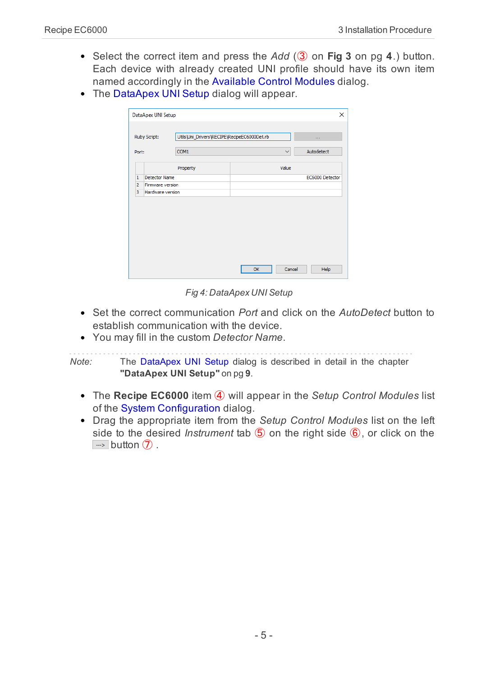- Select the correct item and press the *Add* (③ on **[Fig](#page-7-1) 3** on pg **4**.) button. Each device with already created UNI profile should have its own item named accordingly in the [Available](ms-its:Clarity.chm::/Help/010-clarity/010.010-system/010.010-system-configuration-left.htm) Control Modules dialog.
- The [DataApex](#page-12-0) UNI Setup dialog will appear.

|                | Ruby Script:     | Utils\Uni_Drivers\RECIPE\RecipeEC6000Det.rb |              | $\sim 100$      |
|----------------|------------------|---------------------------------------------|--------------|-----------------|
| Port:          |                  | COM <sub>1</sub>                            | $\checkmark$ | Autodetect      |
|                |                  | Property                                    | Value        |                 |
| 1              | Detector Name    |                                             |              | EC6000 Detector |
| $\overline{2}$ | Firmware version |                                             |              |                 |
| 3              | Hardware version |                                             |              |                 |
|                |                  |                                             |              |                 |

*Fig 4: DataApex UNI Setup*

- Set the correct communication *Port* and click on the *AutoDetect* button to establish communication with the device.
- You may fill in the custom *Detector Name*.

*Note:* The DataApex UNI Setup dialog is described in detail in the [chapter](#page-12-0) **["DataApex](#page-12-0) UNI Setup"** on pg **9**.

- The **Recipe EC6000** item ④ will appear in the *Setup Control Modules* list of the System [Configuration](ms-its:Clarity.chm::/Help/010-clarity/010.010-system/010.010-configuration.htm) dialog.
- Drag the appropriate item from the *Setup Control Modules* list on the left side to the desired *Instrument* tab ⑤ on the right side ⑥, or click on the  $\Rightarrow$  button  $\circled{7}$ .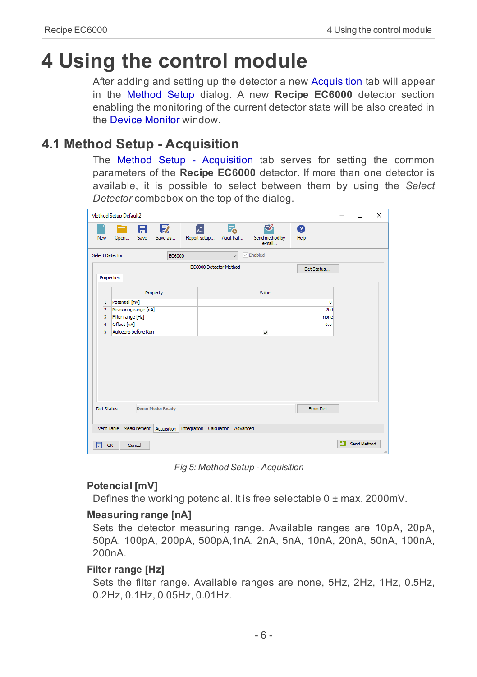# <span id="page-9-0"></span>**4 Using the control module**

After adding and setting up the detector a new [Acquisition](#page-9-1) tab will appear in the [Method](ms-its:Clarity.chm::/Help/020-instrument/020.040-method/020.040-method.htm) Setup dialog. A new **Recipe EC6000** detector section enabling the monitoring of the current detector state will be also created in the Device [Monitor](#page-10-1) window.

### <span id="page-9-1"></span>**4.1 Method Setup - Acquisition**

The Method Setup - Acquisition tab serves for setting the common parameters of the **Recipe EC6000** detector. If more than one detector is available, it is possible to select between them by using the *Select Detector* combobox on the top of the dialog.

|                        | <b>Method Setup Default2</b> |        |                                                                      |                   |                        |                   |                               |            | $\Box$      | $\times$ |
|------------------------|------------------------------|--------|----------------------------------------------------------------------|-------------------|------------------------|-------------------|-------------------------------|------------|-------------|----------|
| <b>New</b>             | Open                         | Save   | 日 取<br>Save as                                                       | 颌<br>Report setup |                        | Г.<br>Audit trail | 矽<br>Send method by<br>e-mail | ❼<br>Help  |             |          |
| <b>Select Detector</b> |                              |        | EC6000                                                               |                   |                        | $\checkmark$      | $\sqrt{\frac{1}{2}}$ Enabled  |            |             |          |
|                        |                              |        |                                                                      |                   | EC6000 Detector Method |                   |                               | Det Status |             |          |
| Properties             |                              |        |                                                                      |                   |                        |                   |                               |            |             |          |
|                        |                              |        | Property                                                             |                   |                        |                   | Value                         |            |             |          |
| $\mathbf 1$            | Potential [mV]               |        |                                                                      |                   |                        |                   |                               | 0          |             |          |
| $\overline{2}$         | Measuring range [nA]         |        |                                                                      |                   |                        |                   |                               | 200        |             |          |
| 3                      | Filter range [Hz]            |        |                                                                      |                   |                        |                   |                               | none       |             |          |
| $\overline{4}$         | Offset [nA]                  |        |                                                                      |                   |                        |                   |                               | 0.0        |             |          |
| 5                      | Autozero before Run          |        |                                                                      |                   |                        |                   | $\overline{\mathbf{v}}$       |            |             |          |
| <b>Det Status</b>      |                              |        | <b>Demo Mode: Ready</b>                                              |                   |                        |                   |                               | From Det   |             |          |
|                        |                              |        |                                                                      |                   |                        |                   |                               |            |             |          |
|                        |                              |        | Event Table Measurement Acquisition Integration Calculation Advanced |                   |                        |                   |                               |            |             |          |
| 日<br>OK                |                              | Cancel |                                                                      |                   |                        |                   |                               |            | Send Method | $\sim$   |

*Fig 5: Method Setup - Acquisition*

#### **Potencial [mV]**

Defines the working potencial. It is free selectable 0 ± max. 2000mV.

#### **Measuring range [nA]**

Sets the detector measuring range. Available ranges are 10pA, 20pA, 50pA, 100pA, 200pA, 500pA,1nA, 2nA, 5nA, 10nA, 20nA, 50nA, 100nA, 200nA.

#### **Filter range [Hz]**

Sets the filter range. Available ranges are none, 5Hz, 2Hz, 1Hz, 0.5Hz, 0.2Hz, 0.1Hz, 0.05Hz, 0.01Hz.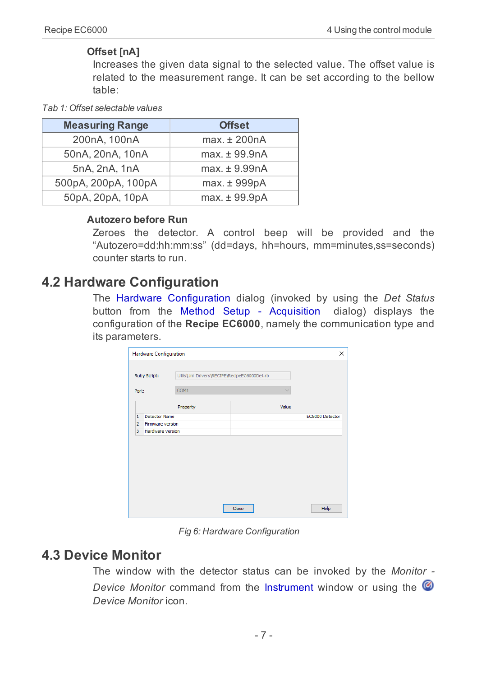#### **Offset [nA]**

Increases the given data signal to the selected value. The offset value is related to the measurement range. It can be set according to the bellow table:

#### *Tab 1: Offset selectable values*

| <b>Measuring Range</b> | <b>Offset</b>     |
|------------------------|-------------------|
| 200nA, 100nA           | $max. \pm 200nA$  |
| 50nA, 20nA, 10nA       | $max. \pm 99.9nA$ |
| 5nA, 2nA, 1nA          | $max. \pm 9.99nA$ |
| 500pA, 200pA, 100pA    | max. ± 999pA      |
| 50pA, 20pA, 10pA       | $max. \pm 99.9pA$ |

#### **Autozero before Run**

Zeroes the detector. A control beep will be provided and the "Autozero=dd:hh:mm:ss" (dd=days, hh=hours, mm=minutes,ss=seconds) counter starts to run.

### <span id="page-10-0"></span>**4.2 Hardware Configuration**

The Hardware Configuration dialog (invoked by using the *Det Status* button from the Method Setup - [Acquisition](#page-9-1) dialog) displays the configuration of the **Recipe EC6000**, namely the communication type and its parameters.

|                | <b>Hardware Configuration</b> |                                             |                 | X |
|----------------|-------------------------------|---------------------------------------------|-----------------|---|
|                | Ruby Script:                  | Utils\Uni_Drivers\RECIPE\RecipeEC6000Det.rb |                 |   |
| Port:          |                               | COM <sub>1</sub>                            | $\checkmark$    |   |
|                |                               | Property                                    | Value           |   |
| 1              | <b>Detector Name</b>          |                                             | EC6000 Detector |   |
| $\overline{2}$ | Firmware version              |                                             |                 |   |
| 3              | Hardware version              |                                             |                 |   |
|                |                               |                                             |                 |   |
|                |                               |                                             |                 |   |
|                |                               |                                             |                 |   |

*Fig 6: Hardware Configuration*

### <span id="page-10-1"></span>**4.3 Device Monitor**

The window with the detector status can be invoked by the *Monitor - Device Monitor* command from the [Instrument](ms-its:Clarity.chm::/Help/020-instrument/020.000-instrument/020-instrument.htm) window or using the *Device Monitor* icon.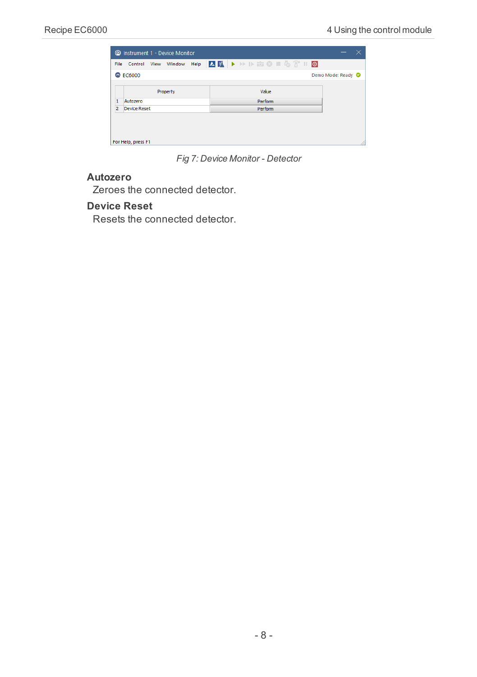|                |                    |      | C Instrument 1 - Device Monitor |      |  |                   |  |  |                    |  |
|----------------|--------------------|------|---------------------------------|------|--|-------------------|--|--|--------------------|--|
| File           | Control            | View | Window                          | Help |  | <b>AF DESEGTO</b> |  |  |                    |  |
|                | $\odot$ EC6000     |      |                                 |      |  |                   |  |  | Demo Mode: Ready O |  |
|                |                    |      | Property                        |      |  | Value             |  |  |                    |  |
| $\mathbf{1}$   | Autozero           |      |                                 |      |  | Perform           |  |  |                    |  |
| $\overline{2}$ | Device Reset       |      |                                 |      |  | Perform           |  |  |                    |  |
|                |                    |      |                                 |      |  |                   |  |  |                    |  |
|                |                    |      |                                 |      |  |                   |  |  |                    |  |
|                | For Help, press F1 |      |                                 |      |  |                   |  |  |                    |  |

*Fig 7: Device Monitor - Detector*

#### **Autozero**

Zeroes the connected detector.

#### **Device Reset**

Resets the connected detector.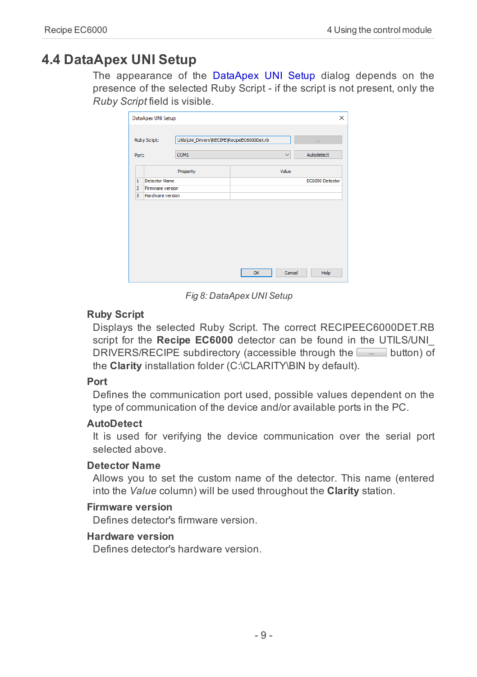### <span id="page-12-0"></span>**4.4 DataApex UNI Setup**

The appearance of the DataApex UNI Setup dialog depends on the presence of the selected Ruby Script - if the script is not present, only the *Ruby Script* field is visible.

| Ruby Script:                       | Utils\Uni_Drivers\RECIPE\RecipeEC6000Det.rb |              | 1.11            |
|------------------------------------|---------------------------------------------|--------------|-----------------|
| Port:                              | COM <sub>1</sub>                            | $\checkmark$ | Autodetect      |
|                                    | Property                                    | Value        |                 |
| Detector Name<br>1                 |                                             |              | EC6000 Detector |
| $\overline{2}$<br>Firmware version |                                             |              |                 |
| 3<br>Hardware version              |                                             |              |                 |
|                                    |                                             |              |                 |

*Fig 8: DataApex UNI Setup*

#### **Ruby Script**

Displays the selected Ruby Script. The correct RECIPEEC6000DET.RB script for the **Recipe EC6000** detector can be found in the UTILS/UNI\_ DRIVERS/RECIPE subdirectory (accessible through the **button**) of the **Clarity** installation folder (C:\CLARITY\BIN by default).

#### **Port**

Defines the communication port used, possible values dependent on the type of communication of the device and/or available ports in the PC.

#### **AutoDetect**

It is used for verifying the device communication over the serial port selected above.

#### **Detector Name**

Allows you to set the custom name of the detector. This name (entered into the *Value* column) will be used throughout the **Clarity** station.

#### **Firmware version**

Defines detector's firmware version.

#### **Hardware version**

Defines detector's hardware version.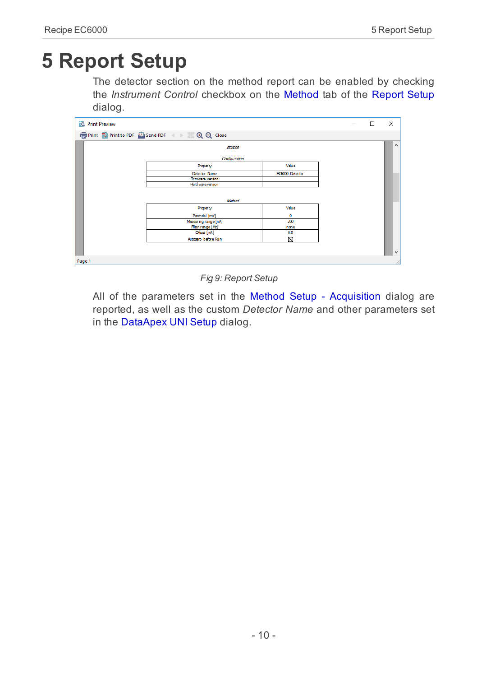# <span id="page-13-0"></span>**5 Report Setup**

The detector section on the method report can be enabled by checking the *Instrument Control* checkbox on the [Method](ms-its:Clarity.chm::/Help/080-report-setup/080.000-report-setup/080-method.htm) tab of the [Report](ms-its:Clarity.chm::/Help/080-report-setup/080.000-report-setup/080-report-setup.htm) Setup dialog.

| <b>Q</b> Print Preview |                                                               |                 | $\overline{\phantom{a}}$ | □ | $\times$     |
|------------------------|---------------------------------------------------------------|-----------------|--------------------------|---|--------------|
|                        | 信 Print 窗 Print to PDF <sup>22</sup> Send PDF 4 → 1 见 Q Close |                 |                          |   |              |
|                        | <b>ROOD</b><br>Configuration                                  |                 |                          |   | $\land$      |
|                        | Property                                                      | Value           |                          |   |              |
|                        | Detector Name                                                 | EC6000 Detector |                          |   |              |
|                        | Firmware version                                              |                 |                          |   |              |
|                        | Hard wareversion                                              |                 |                          |   |              |
|                        | Method                                                        |                 |                          |   |              |
|                        | Property                                                      | Value           |                          |   |              |
|                        | Potential [mV]                                                | ٥               |                          |   |              |
|                        | Measuring range [nA]                                          | 200             |                          |   |              |
|                        | Filter range [Hz]                                             | none            |                          |   |              |
|                        | Offset [nA]                                                   | 0.0             |                          |   |              |
|                        | Autozero before Run                                           | ⊠               |                          |   |              |
|                        |                                                               |                 |                          |   |              |
|                        |                                                               |                 |                          |   | $\checkmark$ |
| Page 1                 |                                                               |                 |                          |   |              |

*Fig 9: Report Setup*

All of the parameters set in the Method Setup - [Acquisition](#page-9-1) dialog are reported, as well as the custom *Detector Name* and other parameters set in the [DataApex](#page-12-0) UNI Setup dialog.